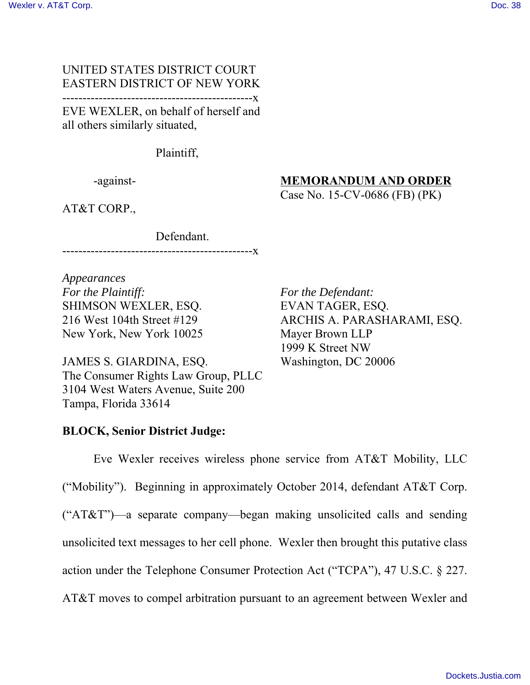### UNITED STATES DISTRICT COURT EASTERN DISTRICT OF NEW YORK -----------------------------------------------x

EVE WEXLER, on behalf of herself and all others similarly situated,

Plaintiff,

-against-

# **MEMORANDUM AND ORDER**

Case No. 15-CV-0686 (FB) (PK)

AT&T CORP.,

Defendant.

-----------------------------------------------x

*Appearances For the Plaintiff:* SHIMSON WEXLER, ESQ. 216 West 104th Street #129 New York, New York 10025

JAMES S. GIARDINA, ESQ. The Consumer Rights Law Group, PLLC 3104 West Waters Avenue, Suite 200 Tampa, Florida 33614

*For the Defendant:* EVAN TAGER, ESQ. ARCHIS A. PARASHARAMI, ESQ. Mayer Brown LLP 1999 K Street NW Washington, DC 20006

## **BLOCK, Senior District Judge:**

Eve Wexler receives wireless phone service from AT&T Mobility, LLC ("Mobility"). Beginning in approximately October 2014, defendant AT&T Corp. ("AT&T")—a separate company—began making unsolicited calls and sending unsolicited text messages to her cell phone. Wexler then brought this putative class action under the Telephone Consumer Protection Act ("TCPA"), 47 U.S.C. § 227. AT&T moves to compel arbitration pursuant to an agreement between Wexler and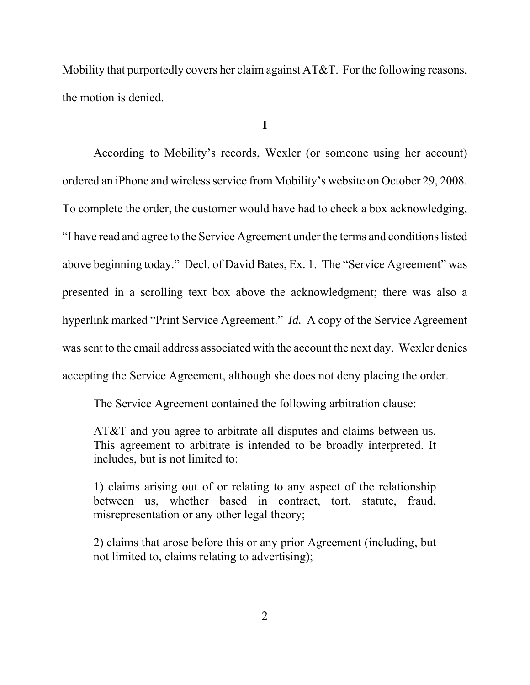Mobility that purportedly covers her claim against AT&T. For the following reasons, the motion is denied.

**I**

According to Mobility's records, Wexler (or someone using her account) ordered an iPhone and wireless service from Mobility's website on October 29, 2008. To complete the order, the customer would have had to check a box acknowledging, "I have read and agree to the Service Agreement under the terms and conditions listed above beginning today." Decl. of David Bates, Ex. 1. The "Service Agreement" was presented in a scrolling text box above the acknowledgment; there was also a hyperlink marked "Print Service Agreement." *Id.* A copy of the Service Agreement was sent to the email address associated with the account the next day. Wexler denies accepting the Service Agreement, although she does not deny placing the order.

The Service Agreement contained the following arbitration clause:

AT&T and you agree to arbitrate all disputes and claims between us. This agreement to arbitrate is intended to be broadly interpreted. It includes, but is not limited to:

1) claims arising out of or relating to any aspect of the relationship between us, whether based in contract, tort, statute, fraud, misrepresentation or any other legal theory;

2) claims that arose before this or any prior Agreement (including, but not limited to, claims relating to advertising);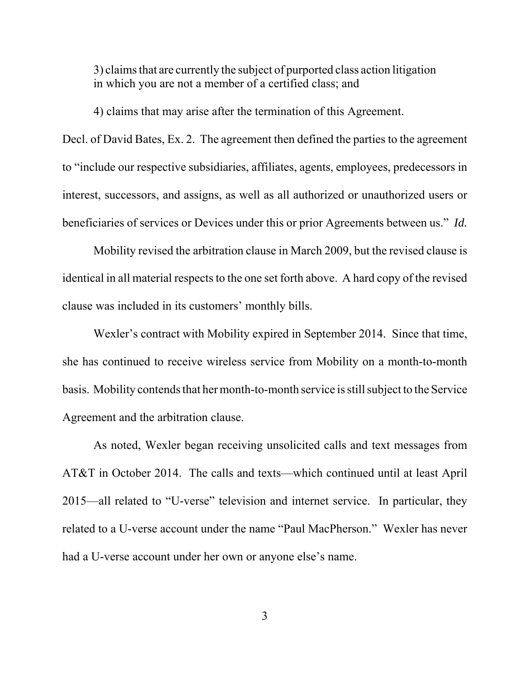3) claims that are currently the subject of purported class action litigation in which you are not a member of a certified class; and

4) claims that may arise after the termination of this Agreement.

Decl. of David Bates, Ex. 2. The agreement then defined the parties to the agreement to "include our respective subsidiaries, affiliates, agents, employees, predecessors in interest, successors, and assigns, as well as all authorized or unauthorized users or beneficiaries of services or Devices under this or prior Agreements between us." *Id.*

Mobility revised the arbitration clause in March 2009, but the revised clause is identical in all material respects to the one set forth above. A hard copy of the revised clause was included in its customers' monthly bills.

Wexler's contract with Mobility expired in September 2014. Since that time, she has continued to receive wireless service from Mobility on a month-to-month basis. Mobility contends that her month-to-month service is still subject to the Service Agreement and the arbitration clause.

As noted, Wexler began receiving unsolicited calls and text messages from AT&T in October 2014. The calls and texts—which continued until at least April 2015—all related to "U-verse" television and internet service. In particular, they related to a U-verse account under the name "Paul MacPherson." Wexler has never had a U-verse account under her own or anyone else's name.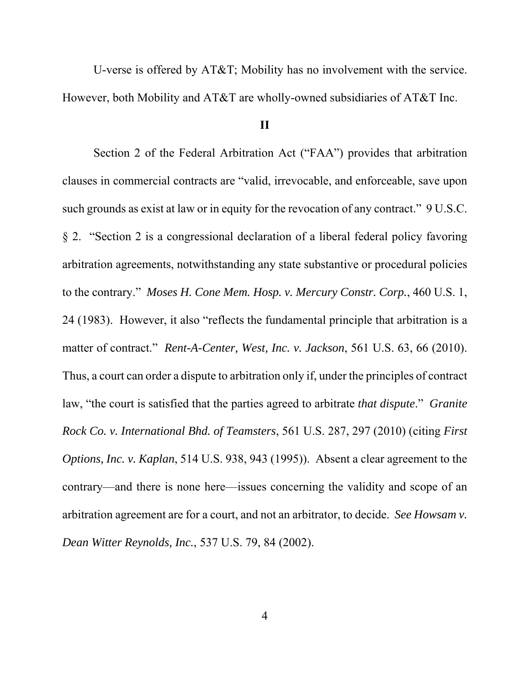U-verse is offered by AT&T; Mobility has no involvement with the service. However, both Mobility and AT&T are wholly-owned subsidiaries of AT&T Inc.

#### **II**

Section 2 of the Federal Arbitration Act ("FAA") provides that arbitration clauses in commercial contracts are "valid, irrevocable, and enforceable, save upon such grounds as exist at law or in equity for the revocation of any contract." 9 U.S.C. § 2. "Section 2 is a congressional declaration of a liberal federal policy favoring arbitration agreements, notwithstanding any state substantive or procedural policies to the contrary." *Moses H. Cone Mem. Hosp. v. Mercury Constr. Corp.*, 460 U.S. 1, 24 (1983). However, it also "reflects the fundamental principle that arbitration is a matter of contract." *Rent-A-Center, West, Inc. v. Jackson*, 561 U.S. 63, 66 (2010). Thus, a court can order a dispute to arbitration only if, under the principles of contract law, "the court is satisfied that the parties agreed to arbitrate *that dispute*." *Granite Rock Co. v. International Bhd. of Teamsters*, 561 U.S. 287, 297 (2010) (citing *First Options, Inc. v. Kaplan*, 514 U.S. 938, 943 (1995)). Absent a clear agreement to the contrary—and there is none here—issues concerning the validity and scope of an arbitration agreement are for a court, and not an arbitrator, to decide. *See Howsam v. Dean Witter Reynolds, Inc.*, 537 U.S. 79, 84 (2002).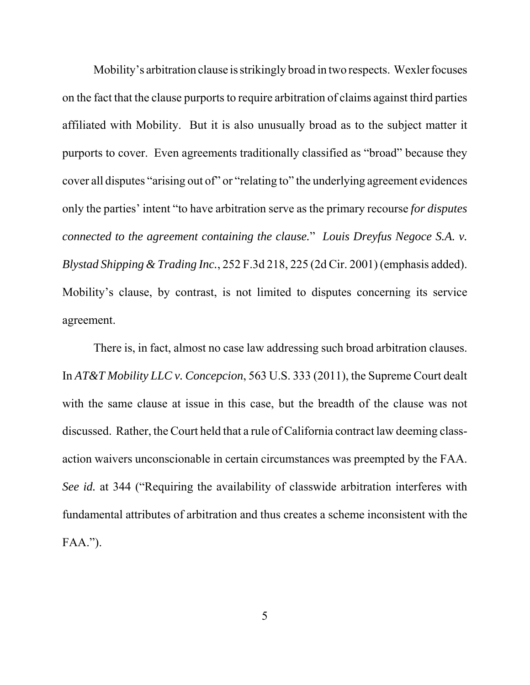Mobility's arbitration clause is strikingly broad in two respects. Wexler focuses on the fact that the clause purports to require arbitration of claims against third parties affiliated with Mobility. But it is also unusually broad as to the subject matter it purports to cover. Even agreements traditionally classified as "broad" because they cover all disputes "arising out of" or "relating to" the underlying agreement evidences only the parties' intent "to have arbitration serve as the primary recourse *for disputes connected to the agreement containing the clause.*" *Louis Dreyfus Negoce S.A. v. Blystad Shipping & Trading Inc.*, 252 F.3d 218, 225 (2d Cir. 2001) (emphasis added). Mobility's clause, by contrast, is not limited to disputes concerning its service agreement.

There is, in fact, almost no case law addressing such broad arbitration clauses. In *AT&T Mobility LLC v. Concepcion*, 563 U.S. 333 (2011), the Supreme Court dealt with the same clause at issue in this case, but the breadth of the clause was not discussed. Rather, the Court held that a rule of California contract law deeming classaction waivers unconscionable in certain circumstances was preempted by the FAA. *See id.* at 344 ("Requiring the availability of classwide arbitration interferes with fundamental attributes of arbitration and thus creates a scheme inconsistent with the FAA.").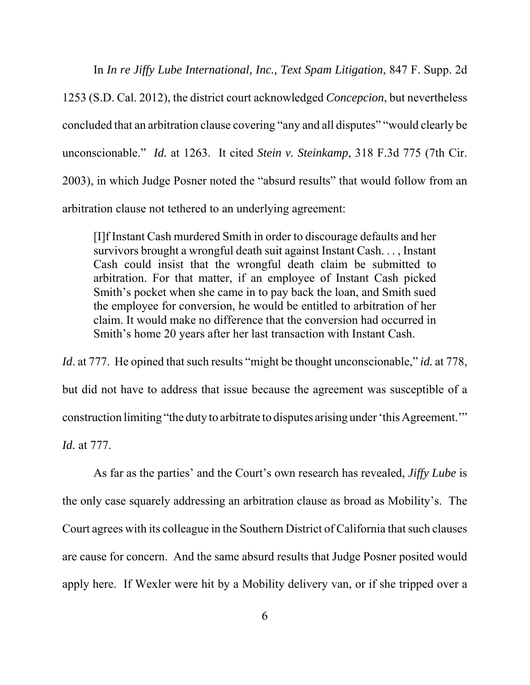In *In re Jiffy Lube International, Inc., Text Spam Litigation*, 847 F. Supp. 2d 1253 (S.D. Cal. 2012), the district court acknowledged *Concepcion*, but nevertheless concluded that an arbitration clause covering "any and all disputes" "would clearly be unconscionable." *Id.* at 1263. It cited *Stein v. Steinkamp*, 318 F.3d 775 (7th Cir. 2003), in which Judge Posner noted the "absurd results" that would follow from an arbitration clause not tethered to an underlying agreement:

[I]f Instant Cash murdered Smith in order to discourage defaults and her survivors brought a wrongful death suit against Instant Cash. . . , Instant Cash could insist that the wrongful death claim be submitted to arbitration. For that matter, if an employee of Instant Cash picked Smith's pocket when she came in to pay back the loan, and Smith sued the employee for conversion, he would be entitled to arbitration of her claim. It would make no difference that the conversion had occurred in Smith's home 20 years after her last transaction with Instant Cash.

*Id.* at 777. He opined that such results "might be thought unconscionable," *id.* at 778, but did not have to address that issue because the agreement was susceptible of a construction limiting "the duty to arbitrate to disputes arising under 'this Agreement.'" *Id.* at 777.

As far as the parties' and the Court's own research has revealed, *Jiffy Lube* is the only case squarely addressing an arbitration clause as broad as Mobility's. The Court agrees with its colleague in the Southern District of California that such clauses are cause for concern. And the same absurd results that Judge Posner posited would apply here. If Wexler were hit by a Mobility delivery van, or if she tripped over a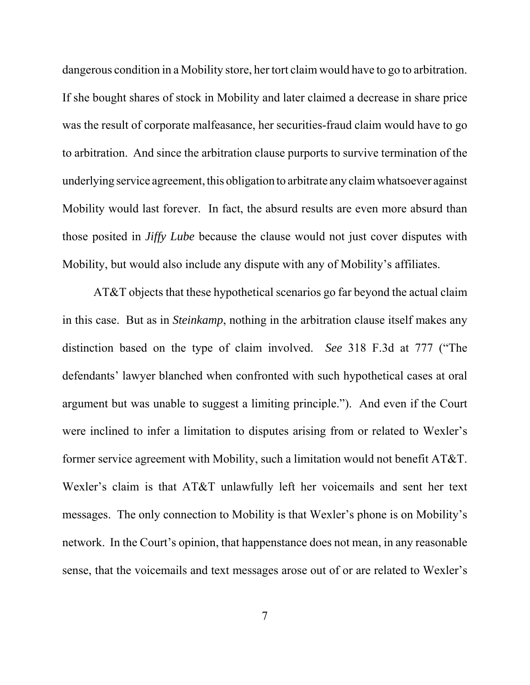dangerous condition in a Mobility store, her tort claim would have to go to arbitration. If she bought shares of stock in Mobility and later claimed a decrease in share price was the result of corporate malfeasance, her securities-fraud claim would have to go to arbitration. And since the arbitration clause purports to survive termination of the underlying service agreement, this obligation to arbitrate any claim whatsoever against Mobility would last forever. In fact, the absurd results are even more absurd than those posited in *Jiffy Lube* because the clause would not just cover disputes with Mobility, but would also include any dispute with any of Mobility's affiliates.

AT&T objects that these hypothetical scenarios go far beyond the actual claim in this case. But as in *Steinkamp*, nothing in the arbitration clause itself makes any distinction based on the type of claim involved. *See* 318 F.3d at 777 ("The defendants' lawyer blanched when confronted with such hypothetical cases at oral argument but was unable to suggest a limiting principle."). And even if the Court were inclined to infer a limitation to disputes arising from or related to Wexler's former service agreement with Mobility, such a limitation would not benefit AT&T. Wexler's claim is that AT&T unlawfully left her voicemails and sent her text messages. The only connection to Mobility is that Wexler's phone is on Mobility's network. In the Court's opinion, that happenstance does not mean, in any reasonable sense, that the voicemails and text messages arose out of or are related to Wexler's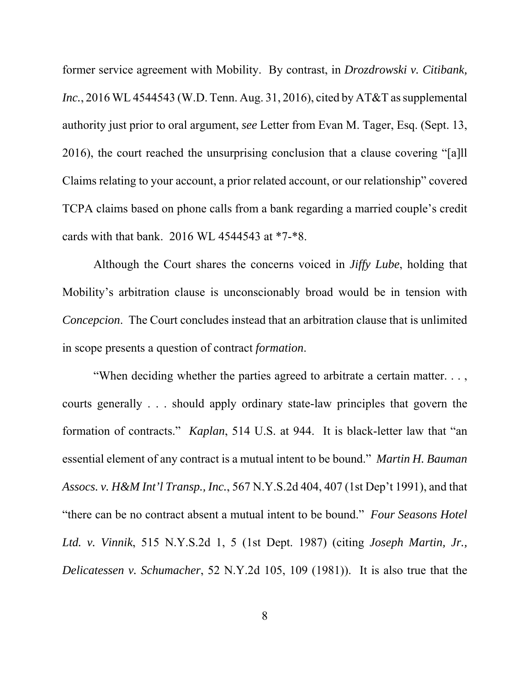former service agreement with Mobility. By contrast, in *Drozdrowski v. Citibank, Inc.*, 2016 WL 4544543 (W.D. Tenn. Aug. 31, 2016), cited by AT&T as supplemental authority just prior to oral argument, *see* Letter from Evan M. Tager, Esq. (Sept. 13, 2016), the court reached the unsurprising conclusion that a clause covering "[a]ll Claims relating to your account, a prior related account, or our relationship" covered TCPA claims based on phone calls from a bank regarding a married couple's credit cards with that bank. 2016 WL 4544543 at \*7-\*8.

Although the Court shares the concerns voiced in *Jiffy Lube*, holding that Mobility's arbitration clause is unconscionably broad would be in tension with *Concepcion*. The Court concludes instead that an arbitration clause that is unlimited in scope presents a question of contract *formation*.

"When deciding whether the parties agreed to arbitrate a certain matter. . . , courts generally . . . should apply ordinary state-law principles that govern the formation of contracts." *Kaplan*, 514 U.S. at 944. It is black-letter law that "an essential element of any contract is a mutual intent to be bound." *Martin H. Bauman Assocs. v. H&M Int'l Transp., Inc.*, 567 N.Y.S.2d 404, 407 (1st Dep't 1991), and that "there can be no contract absent a mutual intent to be bound." *Four Seasons Hotel Ltd. v. Vinnik*, 515 N.Y.S.2d 1, 5 (1st Dept. 1987) (citing *Joseph Martin, Jr., Delicatessen v. Schumacher*, 52 N.Y.2d 105, 109 (1981)). It is also true that the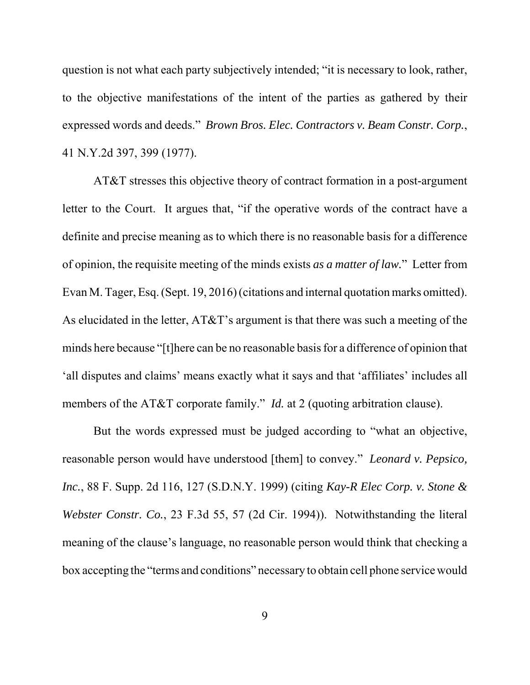question is not what each party subjectively intended; "it is necessary to look, rather, to the objective manifestations of the intent of the parties as gathered by their expressed words and deeds." *Brown Bros. Elec. Contractors v. Beam Constr. Corp.*, 41 N.Y.2d 397, 399 (1977).

AT&T stresses this objective theory of contract formation in a post-argument letter to the Court. It argues that, "if the operative words of the contract have a definite and precise meaning as to which there is no reasonable basis for a difference of opinion, the requisite meeting of the minds exists *as a matter of law.*" Letter from Evan M. Tager, Esq. (Sept. 19, 2016) (citations and internal quotation marks omitted). As elucidated in the letter, AT&T's argument is that there was such a meeting of the minds here because "[t]here can be no reasonable basis for a difference of opinion that 'all disputes and claims' means exactly what it says and that 'affiliates' includes all members of the AT&T corporate family." *Id.* at 2 (quoting arbitration clause).

But the words expressed must be judged according to "what an objective, reasonable person would have understood [them] to convey." *Leonard v. Pepsico, Inc.*, 88 F. Supp. 2d 116, 127 (S.D.N.Y. 1999) (citing *Kay-R Elec Corp. v. Stone & Webster Constr. Co.*, 23 F.3d 55, 57 (2d Cir. 1994)). Notwithstanding the literal meaning of the clause's language, no reasonable person would think that checking a box accepting the "terms and conditions" necessary to obtain cell phone service would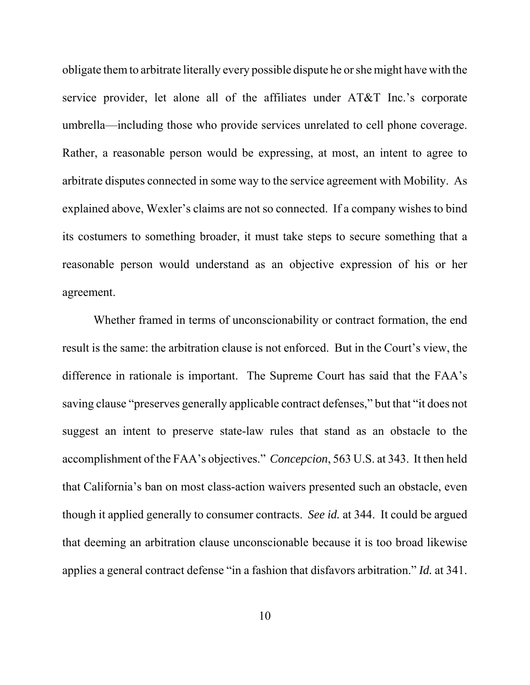obligate them to arbitrate literally every possible dispute he or she might have with the service provider, let alone all of the affiliates under AT&T Inc.'s corporate umbrella—including those who provide services unrelated to cell phone coverage. Rather, a reasonable person would be expressing, at most, an intent to agree to arbitrate disputes connected in some way to the service agreement with Mobility. As explained above, Wexler's claims are not so connected. If a company wishes to bind its costumers to something broader, it must take steps to secure something that a reasonable person would understand as an objective expression of his or her agreement.

Whether framed in terms of unconscionability or contract formation, the end result is the same: the arbitration clause is not enforced. But in the Court's view, the difference in rationale is important. The Supreme Court has said that the FAA's saving clause "preserves generally applicable contract defenses," but that "it does not suggest an intent to preserve state-law rules that stand as an obstacle to the accomplishment of the FAA's objectives." *Concepcion*, 563 U.S. at 343. It then held that California's ban on most class-action waivers presented such an obstacle, even though it applied generally to consumer contracts. *See id.* at 344. It could be argued that deeming an arbitration clause unconscionable because it is too broad likewise applies a general contract defense "in a fashion that disfavors arbitration." *Id.* at 341.